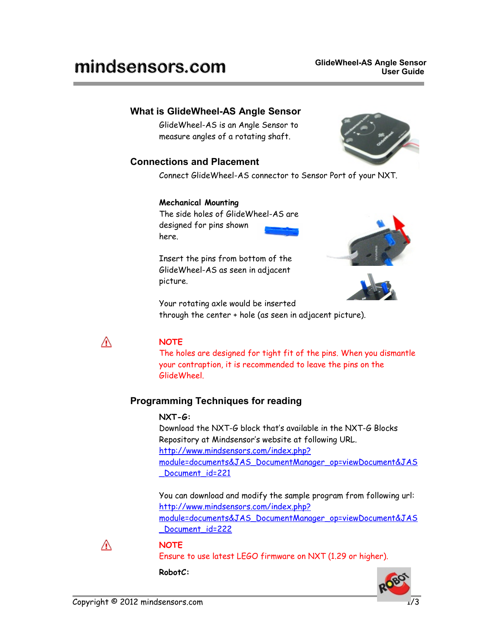# mindsensors.com

# **What is GlideWheel-AS Angle Sensor**

GlideWheel-AS is an Angle Sensor to measure angles of a rotating shaft.

# **Connections and Placement**

Connect GlideWheel-AS connector to Sensor Port of your NXT.

#### **Mechanical Mounting**

The side holes of GlideWheel-AS are designed for pins shown here.

Insert the pins from bottom of the GlideWheel-AS as seen in adjacent picture.





Your rotating axle would be inserted through the center + hole (as seen in adjacent picture).



## **NOTE**

The holes are designed for tight fit of the pins. When you dismantle your contraption, it is recommended to leave the pins on the GlideWheel.

# **Programming Techniques for reading**

#### **NXT-G:**

Download the NXT-G block that's available in the NXT-G Blocks Repository at Mindsensor's website at following URL. [http://www.mindsensors.com/index.php?](http://www.mindsensors.com/index.php?module=documents&JAS_DocumentManager_op=viewDocument&JAS_Document_id=221) [module=documents&JAS\\_DocumentManager\\_op=viewDocument&JAS](http://www.mindsensors.com/index.php?module=documents&JAS_DocumentManager_op=viewDocument&JAS_Document_id=221) Document id=221

You can download and modify the sample program from following url: [http://www.mindsensors.com/index.php?](http://www.mindsensors.com/index.php?module=documents&JAS_DocumentManager_op=viewDocument&JAS_Document_id=222) [module=documents&JAS\\_DocumentManager\\_op=viewDocument&JAS](http://www.mindsensors.com/index.php?module=documents&JAS_DocumentManager_op=viewDocument&JAS_Document_id=222) Document id=222



#### **NOTE**

Ensure to use latest LEGO firmware on NXT (1.29 or higher).

#### **RobotC:**



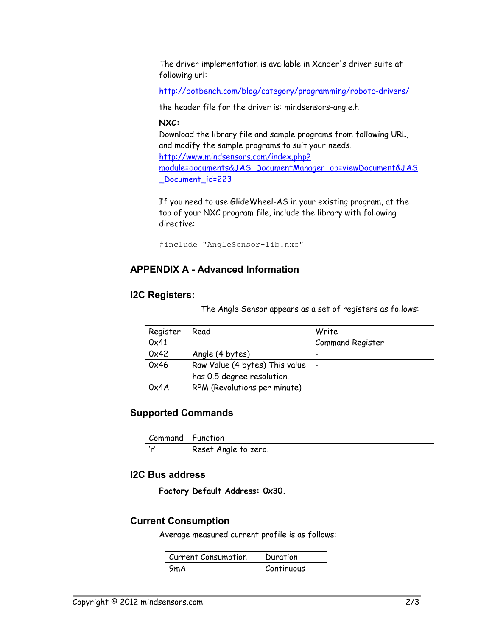The driver implementation is available in Xander's driver suite at following url:

<http://botbench.com/blog/category/programming/robotc-drivers/>

the header file for the driver is: mindsensors-angle.h

**NXC:** 

Download the library file and sample programs from following URL, and modify the sample programs to suit your needs. [http://www.mindsensors.com/index.php?](http://www.mindsensors.com/index.php?module=documents&JAS_DocumentManager_op=viewDocument&JAS_Document_id=223) [module=documents&JAS\\_DocumentManager\\_op=viewDocument&JAS](http://www.mindsensors.com/index.php?module=documents&JAS_DocumentManager_op=viewDocument&JAS_Document_id=223) [\\_Document\\_id=223](http://www.mindsensors.com/index.php?module=documents&JAS_DocumentManager_op=viewDocument&JAS_Document_id=223)

If you need to use GlideWheel-AS in your existing program, at the top of your NXC program file, include the library with following directive:

#include "AngleSensor-lib.nxc"

## **APPENDIX A - Advanced Information**

#### **I2C Registers:**

The Angle Sensor appears as a set of registers as follows:

| Register | Read                           | Write                    |
|----------|--------------------------------|--------------------------|
| 0x41     | -                              | <b>Command Register</b>  |
| 0x42     | Angle (4 bytes)                | -                        |
| 0x46     | Raw Value (4 bytes) This value | $\overline{\phantom{0}}$ |
|          | has 0.5 degree resolution.     |                          |
| 0x4A     | RPM (Revolutions per minute)   |                          |

#### **Supported Commands**

| Command   Function |                      |
|--------------------|----------------------|
| ٠.                 | Reset Angle to zero. |

#### **I2C Bus address**

**Factory Default Address: 0x30.**

## **Current Consumption**

Average measured current profile is as follows:

| Current Consumption | Duration   |
|---------------------|------------|
| 9mA                 | Continuous |